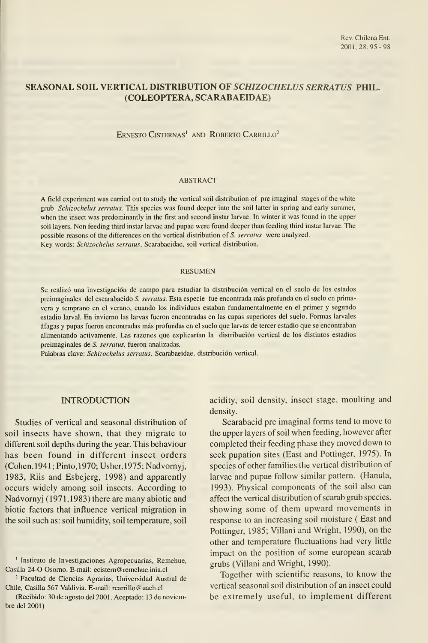# SEASONAL SOIL VERTICAL DISTRIBUTION OF SCHIZOCHELUS SERRATUS PHIL. (COLEÓPTERA, SCARABAEIDAE)

ERNESTO CISTERNAS<sup>1</sup> AND ROBERTO CARRILLO<sup>2</sup>

#### ABSTRACT

A field experiment was camed out to study the vertical soil distribution of pre imagina! stages of the white grub Schizochelus serratas. This species was found deeper into the soil latter in spring and early summer, when the insect was predominantly in the first and second instar larvae. In winter it was found in the upper soil layers. Non feeding third instar larvae and pupae were found deeper than feeding third instar larvae. The possible reasons of the differences on the vertical distribution of S. serratus were analyzed. Key words: Schizochelus serratus, Scarabaeidae, soil vertical distribution.

#### RESUMEN

Se realizó una investigación de campo para estudiar la distribución vertical en el suelo de los estados preimaginales del escarabaeido S. serratus. Esta especie fue encontrada más profunda en el suelo en primavera y temprano en el verano, cuando los individuos estaban fundamentalmente en el primer y segundo estadio larval. En invierno las larvas fueron encontradas en las capas superiores del suelo. Formas larvales áfagas <sup>y</sup> pupas fueron encontradas más profundas en el suelo que larvas de tercer estadio que se encontraban alimentando activamente. Las razones que explicarían la distribución vertical de los distintos estadios preimaginales de S. serratus, fueron analizadas.

Palabras clave: Schizochelus serratus, Scarabaeidae, distribución vertical.

### INTRODUCTION

Studies of vertical and seasonal distribution of soil insects have shown, that they migrate to different soil depths during the year. This behaviour has been found in different insect orders (Cohén, 1941; Pinto, 1970; Usher,1975; Nadvornyj, 1983, Riis and Esbejerg, 1998) and apparently occurs widely among soil insects. According to Nadvornyj (1971,1983) there are many abiotic and biotic factors that influence vertical migration in the soil such as: soil humidity, soil temperature, soil

<sup>2</sup> Facultad de Ciencias Agrarias, Universidad Austral de Chile, Casilla 567 Valdivia. E-mail: rcarrillo@uach.cl

acidity, soil density, insect stage, moulting and density.

Scarabaeid pre imaginal forms tend to move to the upper layers of soil when feeding, however after completed their feeding phase they moved down to seek pupation sites (East and Pottinger, 1975). In species of other families the vertical distribution of larvae and pupae foliow similar pattern. (Hanula, 1993). Physical components of the soil also can affect the vertical distribution of scarab grub species, showing some of them upward movements in response to an increasing soil moisture ( East and Pottinger, 1985; Villani and Wright, 1990), on the other and temperature fluctuations had very little impact on the position of some european scarab grubs (Villani and Wright, 1990).

Together with scientific reasons, to know the vertical seasonal soil distribution of an insect could be extremely useful, to implement different

<sup>&#</sup>x27; Instituto de Investigaciones Agropecuarias, Remehue, Casilla 24-0 Osorno. E-mail: ecistem@remehue.inia.cl

<sup>(</sup>Recibido: 30 de agosto del 2001. Aceptado: 13 de noviembre del 2001)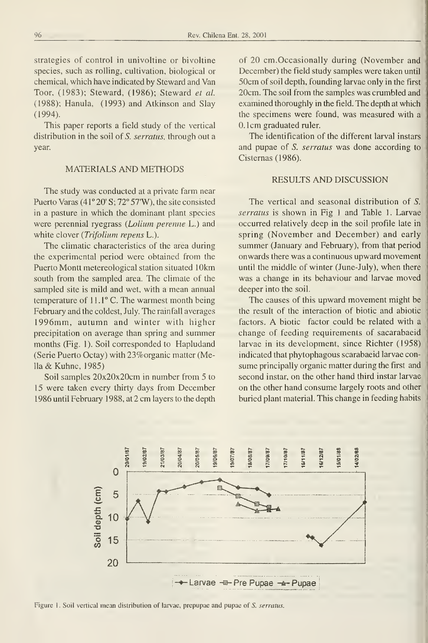strategies of control in univoltine or bivoltine species, such as rolling, cultivation, biological or chemical, which have indicated by Steward and Van Toor, (1983); Steward, (1986); Steward et al. (1988); Hanula, (1993) and Atkinson and Slay (1994).

This paper reports a field study of the vertical distribution in the soil of S. serratus, through out a year.

# MATERIALS AND METHODS

The study was conducted at a private farm near Puerto Varas (4 1° 20' S; 72° 57'W), the site consisted in a pasture in which the dominant plant species were perennial ryegrass (Lolium perenne L.) and white clover (Trifolium repens L.).

The climatic characteristics of the area during the experimental period were obtained from the Puerto Montt metereological station situated lOkm south from the sampled área. The climate of the sampled site is mild and wet, with a mean annual temperature of 11.1° C. The warmest month being February and the coldest, July. The rainfall averages 1996mm, autumn and winter with higher precipitation on average than spring and summer months (Fig. 1). Soil corresponded to Hapludand (Serie Puerto Octay) with 23%organic matter (Mella & Kuhne, 1985)

Soil samples 20x20x20cm in number from 5 to 15 were taken every thirty days from December 1986 until February 1988, at 2 cm layers to the depth

of 20 cm.Occasionally during (November and December) the field study samples were taken until 50cm of soil depth, founding larvae only in the first 20cm. The soil from the samples was crumbled and examined thoroughly in the field. The depth at which the specimens were found, was measured with a 0. Icm graduated ruler.

The identification of the different larval instars and pupae of S. serratas was done according to Cisternas (1986).

# RESULTS AND DISCUSSION

The vertical and seasonal distribution of S. serratus is shown in Fig 1 and Table 1. Larvae occurred relatively deep in the soil profile late in spring (November and December) and early summer (January and February), from that period onwards there was a continuous upward movement until the middle of winter (June-July), when there was a change in its behaviour and larvae moved deeper into the soil.

The causes of this upward movement might be the result of the interaction of biotic and abiotic factors. A biotic factor could be related with <sup>a</sup> change of feeding requirements of sacarabaeid larvae in its development, since Richter (1958) indicated that phytophagous scarabaeid larvae con sume principally organic matter during the first and second instar, on the other hand third instar larvae on the other hand consume largely roots and other buried plant material. This change in feeding habits



Figure 1. Soil vertical mean distribution of larvae, prepupae and pupae of S. serratus.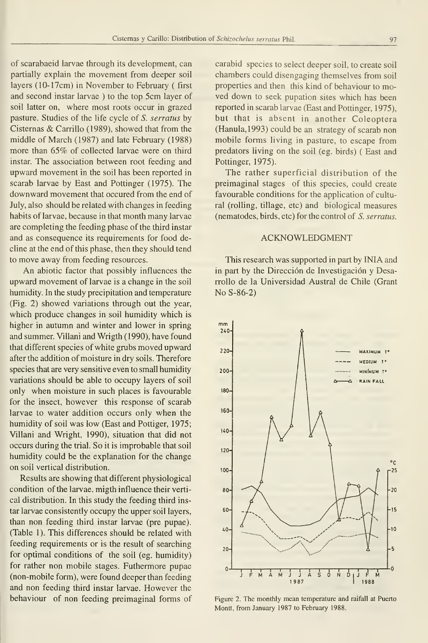of scarabaeid larvae through its development, can partially explain the movement from deeper soil layers (10-17cm) in November to February ( first and second instar larvae ) to the top 5cm layer of soil latter on, where most roots occur in grazed pasture. Studies of the life cycle of S. serratus by Cisternas & Carrillo (1989), showed that from the middle of March (1987) and late February (1988) more than 65% of collected larvae were on third instar. The association between root feeding and upward movement in the soil has been reported in scarab larvae by East and Pottinger (1975). The downward movement that occured from the end of July, also should be related with changes in feeding habits of larvae, because in that month many larvae are completing the feeding phase of the third instar and as consequence its requirements for food decline at the end of this phase, then they should tend to move away from feeding resources.

An abiotic factor that possibly influences the upward movement of larvae is a change in the soil humidity. In the study precipitation and temperature (Fig. 2) showed variations through out the year, which produce changes in soil humidity which is higher in autumn and winter and lower in spring and summer. Villani and Wrigth (1990), have found that different species of white grubs moved upward after the addition of moisture in dry soils. Therefore species that are very sensitive even to small humidity variations should be able to occupy layers of soil only when moisture in such places is favourable for the insect, however this response of scarab larvae to water addition occurs only when the humidity of soil was low (East and Pottiger, 1975; Villani and Wright, 1990), situation that did not occurs during the trial. So it is improbable that soil humidity could be the explanation for the change on soil vertical distribution.

Results are showing that different physiological condition of the larvae, migth influence their verti cal distribution. In this study the feeding third instar larvae consistently occupy the upper soil layers, than non feeding third instar larvae (pre pupae). (Table 1). This differences should be related with feeding requirements or is the result of searching for optimal conditions of the soil (eg. humidity) for rather non mobile stages. Futhermore pupae (non-mobile form), were found deeper than feeding and non feeding third instar larvae. However the behaviour of non feeding preimaginal forms of

carabid species to select deeper soil, to create soil chambers could disengaging themselves from soil properties and then this kind of behaviour to moved down to seek pupation sites which has been reported in scarab larvae (East and Pottinger, 1975), but that is absent in another Coleoptera (Hanula,1993) could be an strategy of scarab non mobile forms living in pasture, to escape from predators living on the soil (eg. birds) ( East and Pottinger, 1975).

The rather superficial distribution of the preimaginal stages of this species, could create favourable conditions for the application of cultural (rolling, tillage, etc) and biological measures (nematodes, birds, etc) for the control of S. serratus.

## ACKNOWLEDGMENT

This research was supported in part by INIA and in part by the Dirección de Investigación y Desarrollo de la Universidad Austral de Chile (Grant No S-86-2)



Figure 2. The monthly mean temperature and raifall at Puerto Montt, from January 1987 to February 1988.